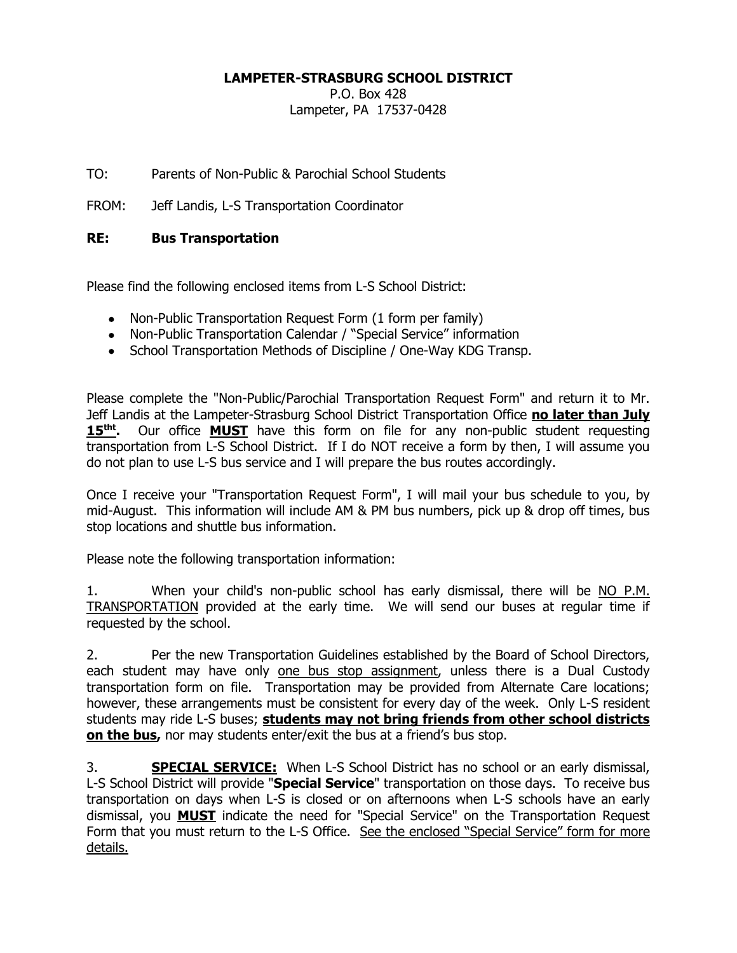## **LAMPETER-STRASBURG SCHOOL DISTRICT**

P.O. Box 428 Lampeter, PA 17537-0428

TO: Parents of Non-Public & Parochial School Students

FROM: Jeff Landis, L-S Transportation Coordinator

## **RE: Bus Transportation**

Please find the following enclosed items from L-S School District:

- Non-Public Transportation Request Form (1 form per family)
- Non-Public Transportation Calendar / "Special Service" information
- School Transportation Methods of Discipline / One-Way KDG Transp.

Please complete the "Non-Public/Parochial Transportation Request Form" and return it to Mr. Jeff Landis at the Lampeter-Strasburg School District Transportation Office **no later than July 15tht .** Our office **MUST** have this form on file for any non-public student requesting transportation from L-S School District. If I do NOT receive a form by then, I will assume you do not plan to use L-S bus service and I will prepare the bus routes accordingly.

Once I receive your "Transportation Request Form", I will mail your bus schedule to you, by mid-August. This information will include AM & PM bus numbers, pick up & drop off times, bus stop locations and shuttle bus information.

Please note the following transportation information:

1. When your child's non-public school has early dismissal, there will be NO P.M. TRANSPORTATION provided at the early time. We will send our buses at regular time if requested by the school.

2. Per the new Transportation Guidelines established by the Board of School Directors, each student may have only one bus stop assignment, unless there is a Dual Custody transportation form on file. Transportation may be provided from Alternate Care locations; however, these arrangements must be consistent for every day of the week. Only L-S resident students may ride L-S buses; **students may not bring friends from other school districts on the bus,** nor may students enter/exit the bus at a friend's bus stop.

3. **SPECIAL SERVICE:** When L-S School District has no school or an early dismissal, L-S School District will provide "**Special Service**" transportation on those days. To receive bus transportation on days when L-S is closed or on afternoons when L-S schools have an early dismissal, you **MUST** indicate the need for "Special Service" on the Transportation Request Form that you must return to the L-S Office. See the enclosed "Special Service" form for more details.